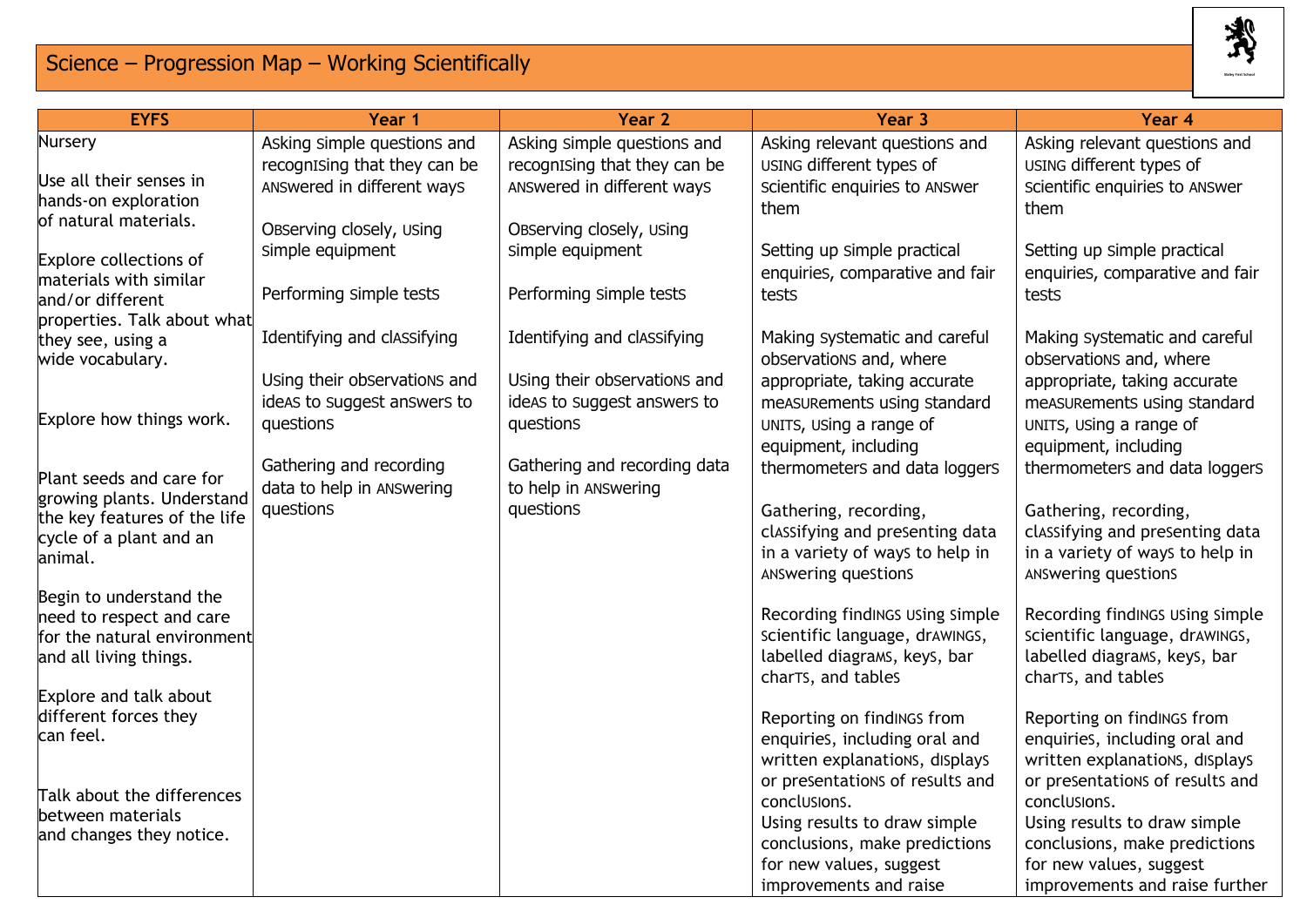## Science – Progression Map – Working Scientifically



| <b>EYFS</b>                                             | Year 1                       | Year 2                       | Year 3                                                            | Year <sub>4</sub>                                                 |
|---------------------------------------------------------|------------------------------|------------------------------|-------------------------------------------------------------------|-------------------------------------------------------------------|
| Nursery                                                 | Asking simple questions and  | Asking simple questions and  | Asking relevant questions and                                     | Asking relevant questions and                                     |
|                                                         | recognising that they can be | recognising that they can be | USING different types of                                          | USING different types of                                          |
| Use all their senses in<br>hands-on exploration         | ANSwered in different ways   | ANSwered in different ways   | Scientific enquiries to ANSwer                                    | Scientific enquiries to ANSwer                                    |
| of natural materials.                                   |                              |                              | them                                                              | them                                                              |
|                                                         | Observing closely, using     | Observing closely, using     |                                                                   |                                                                   |
| Explore collections of                                  | simple equipment             | simple equipment             | Setting up simple practical                                       | Setting up simple practical                                       |
| materials with similar                                  |                              |                              | enquiries, comparative and fair                                   | enquiries, comparative and fair                                   |
| and/or different                                        | Performing simple tests      | Performing simple tests      | tests                                                             | tests                                                             |
| properties. Talk about what                             |                              | Identifying and classifying  |                                                                   |                                                                   |
| they see, using a<br>wide vocabulary.                   | Identifying and classifying  |                              | Making systematic and careful<br>observations and, where          | Making systematic and careful<br>observations and, where          |
|                                                         | Using their observations and | Using their observations and | appropriate, taking accurate                                      | appropriate, taking accurate                                      |
|                                                         | ideas to suggest answers to  | ideas to suggest answers to  | measurements using standard                                       | measurements using standard                                       |
| Explore how things work.                                | questions                    | questions                    | UNITS, USing a range of                                           | UNITS, USing a range of                                           |
|                                                         |                              |                              | equipment, including                                              | equipment, including                                              |
|                                                         | Gathering and recording      | Gathering and recording data | thermometers and data loggers                                     | thermometers and data loggers                                     |
| Plant seeds and care for<br>growing plants. Understand  | data to help in ANSwering    | to help in ANSwering         |                                                                   |                                                                   |
| the key features of the life                            | questions                    | questions                    | Gathering, recording,                                             | Gathering, recording,                                             |
| cycle of a plant and an                                 |                              |                              | classifying and presenting data                                   | classifying and presenting data                                   |
| animal.                                                 |                              |                              | in a variety of ways to help in                                   | in a variety of ways to help in                                   |
|                                                         |                              |                              | ANSwering queStionS                                               | ANSwering queStionS                                               |
| Begin to understand the                                 |                              |                              |                                                                   |                                                                   |
| need to respect and care<br>for the natural environment |                              |                              | Recording findINGS USing Simple<br>scientific language, drawings, | Recording findINGS USing Simple<br>scientific language, drawings, |
| and all living things.                                  |                              |                              | labelled diagrams, keys, bar                                      | labelled diagrams, keys, bar                                      |
|                                                         |                              |                              | charTs, and tables                                                | charTs, and tables                                                |
| Explore and talk about                                  |                              |                              |                                                                   |                                                                   |
| different forces they                                   |                              |                              | Reporting on findINGS from                                        | Reporting on findINGS from                                        |
| can feel.                                               |                              |                              | enquiries, including oral and                                     | enquiries, including oral and                                     |
|                                                         |                              |                              | written explanations, displays                                    | written explanations, displays                                    |
| Talk about the differences                              |                              |                              | or presentations of results and                                   | or presentations of results and                                   |
| between materials                                       |                              |                              | conclusions.                                                      | conclusions.                                                      |
| and changes they notice.                                |                              |                              | Using results to draw simple<br>conclusions, make predictions     | Using results to draw simple<br>conclusions, make predictions     |
|                                                         |                              |                              | for new values, suggest                                           | for new values, suggest                                           |
|                                                         |                              |                              | improvements and raise                                            | improvements and raise further                                    |